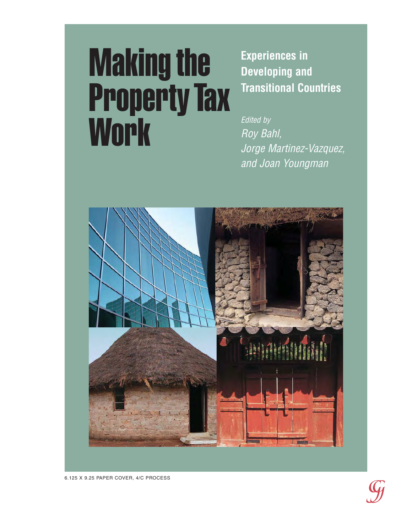# Making the Property Tax **Work**

**Experiences in Developing and Transitional Countries**

Edited by Roy Bahl, Jorge Martinez-Vazquez, and Joan Youngman

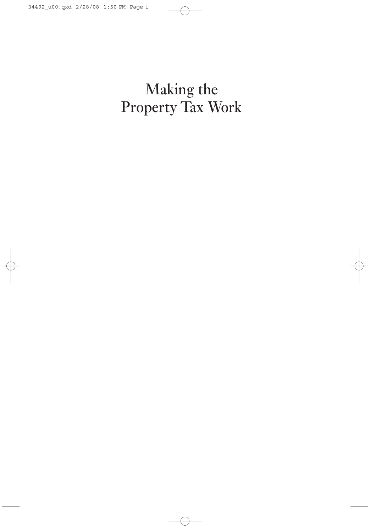# Making the Property Tax Work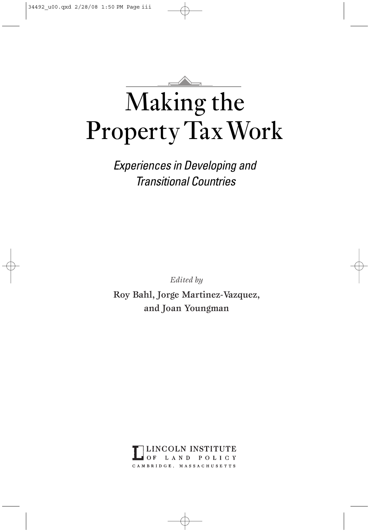# Making the Property TaxWork

*Experiences in Developing and Transitional Countries*

*Edited by* 

Roy Bahl, Jorge Martinez-Vazquez, and Joan Youngman

> INCOLN INSTITUTE OF. LAND POLICY CAMBRIDGE, MASSACHUSETTS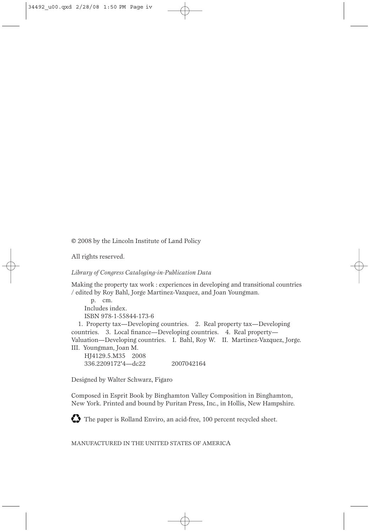© 2008 by the Lincoln Institute of Land Policy

All rights reserved.

## *Library of Congress Cataloging-in-Publication Data*

Making the property tax work : experiences in developing and transitional countries / edited by Roy Bahl, Jorge Martinez-Vazquez, and Joan Youngman.

p. cm. Includes index. ISBN 978-1-55844-173-6

1. Property tax—Developing countries. 2. Real property tax—Developing countries. 3. Local finance—Developing countries. 4. Real property— Valuation—Developing countries. I. Bahl, Roy W. II. Martinez-Vazquez, Jorge. III. Youngman, Joan M.

HJ4129.5.M35 2008 336.2209172'4—dc22 2007042164

Designed by Walter Schwarz, Figaro

Composed in Esprit Book by Binghamton Valley Composition in Binghamton, New York. Printed and bound by Puritan Press, Inc., in Hollis, New Hampshire.

The paper is Rolland Enviro, an acid-free, 100 percent recycled sheet.

MANUFACTURED IN THE UNITED STATES OF AMERICA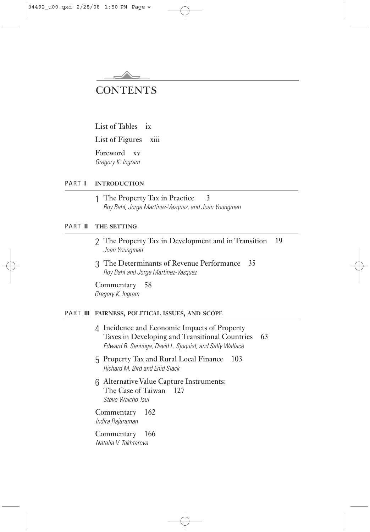

List of Tables ix

List of Figures xiii

Foreword xv *Gregory K. Ingram*

## PART **I INTRODUCTION**

1 The Property Tax in Practice 3 *Roy Bahl, Jorge Martinez-Vazquez, and Joan Youngman*

## PART **II THE SETTING**

- 2 The Property Tax in Development and in Transition 19 *Joan Youngman*
- 3 The Determinants of Revenue Performance 35 *Roy Bahl and Jorge Martinez-Vazquez*

Commentary 58 *Gregory K. Ingram*

## PART **III FAIRNESS, POLITICAL ISSUES, AND SCOPE**

|                                         | 4 Incidence and Economic Impacts of Property<br>Taxes in Developing and Transitional Countries<br>Edward B. Sennoga, David L. Sjoquist, and Sally Wallace |  |  | 63 |
|-----------------------------------------|-----------------------------------------------------------------------------------------------------------------------------------------------------------|--|--|----|
|                                         | 5 Property Tax and Rural Local Finance<br>103<br><b>Richard M. Bird and Enid Slack</b>                                                                    |  |  |    |
|                                         | 6 Alternative Value Capture Instruments:<br>The Case of Taiwan 127<br>Steve Waicho Tsui                                                                   |  |  |    |
|                                         | Commentary 162<br>Indira Rajaraman                                                                                                                        |  |  |    |
| Commentary 166<br>Natalia V. Takhtarova |                                                                                                                                                           |  |  |    |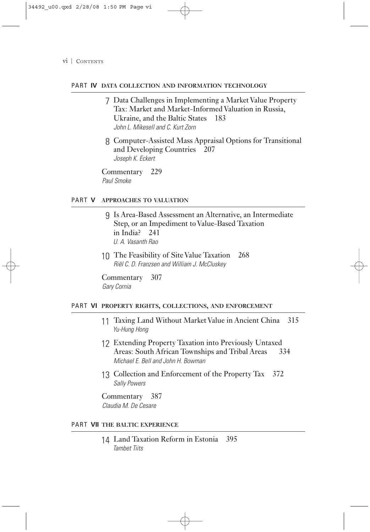## PART **IV DATA COLLECTION AND INFORMATION TECHNOLOGY**

- 7 Data Challenges in Implementing a Market Value Property Tax: Market and Market-Informed Valuation in Russia, Ukraine, and the Baltic States 183 *John L. Mikesell and C. Kurt Zorn*
- 8 Computer-Assisted Mass Appraisal Options for Transitional and Developing Countries 207 *Joseph K. Eckert*

Commentary 229 *Paul Smoke*

## PART **V APPROACHES TO VALUATION**

- 9 Is Area-Based Assessment an Alternative, an Intermediate Step, or an Impediment to Value-Based Taxation in India? 241 *U. A. Vasanth Rao*
- 10 The Feasibility of Site Value Taxation 268 *Riël C. D. Franzsen and William J. McCluskey*

Commentary 307 *Gary Cornia*

### PART **VI PROPERTY RIGHTS, COLLECTIONS, AND ENFORCEMENT**

- 11 Taxing Land Without Market Value in Ancient China 315 *Yu-Hung Hong*
- 12 Extending Property Taxation into Previously Untaxed Areas: South African Townships and Tribal Areas *Michael E. Bell and John H. Bowman*
- 13 Collection and Enforcement of the Property Tax 372 *Sally Powers*

Commentary 387 *Claudia M. De Cesare*

## PART **VII THE BALTIC EXPERIENCE**

14 Land Taxation Reform in Estonia 395 *Tambet Tiits*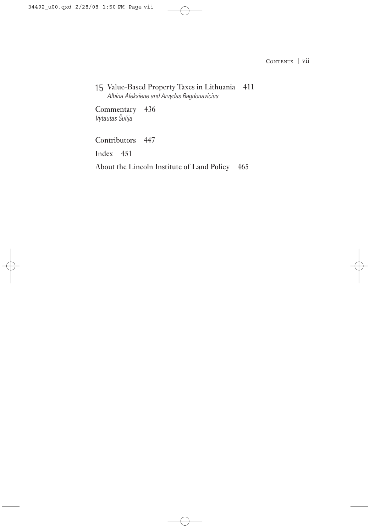15 Value-Based Property Taxes in Lithuania 411 *Albina Aleksiene and Arvydas Bagdonavicius*

Commentary 436 *Vytautas Sˇulija*

Contributors 447

Index 451

About the Lincoln Institute of Land Policy 465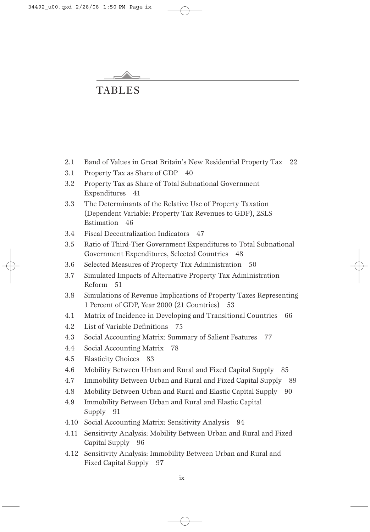

## TABLES

- 2.1 Band of Values in Great Britain's New Residential Property Tax 22
- 3.1 Property Tax as Share of GDP 40
- 3.2 Property Tax as Share of Total Subnational Government Expenditures 41
- 3.3 The Determinants of the Relative Use of Property Taxation (Dependent Variable: Property Tax Revenues to GDP), 2SLS Estimation 46
- 3.4 Fiscal Decentralization Indicators 47
- 3.5 Ratio of Third-Tier Government Expenditures to Total Subnational Government Expenditures, Selected Countries 48
- 3.6 Selected Measures of Property Tax Administration 50
- 3.7 Simulated Impacts of Alternative Property Tax Administration Reform 51
- 3.8 Simulations of Revenue Implications of Property Taxes Representing 1 Percent of GDP, Year 2000 (21 Countries) 53
- 4.1 Matrix of Incidence in Developing and Transitional Countries 66
- 4.2 List of Variable Definitions 75
- 4.3 Social Accounting Matrix: Summary of Salient Features 77
- 4.4 Social Accounting Matrix 78
- 4.5 Elasticity Choices 83
- 4.6 Mobility Between Urban and Rural and Fixed Capital Supply 85
- 4.7 Immobility Between Urban and Rural and Fixed Capital Supply 89
- 4.8 Mobility Between Urban and Rural and Elastic Capital Supply 90
- 4.9 Immobility Between Urban and Rural and Elastic Capital Supply 91
- 4.10 Social Accounting Matrix: Sensitivity Analysis 94
- 4.11 Sensitivity Analysis: Mobility Between Urban and Rural and Fixed Capital Supply 96
- 4.12 Sensitivity Analysis: Immobility Between Urban and Rural and Fixed Capital Supply 97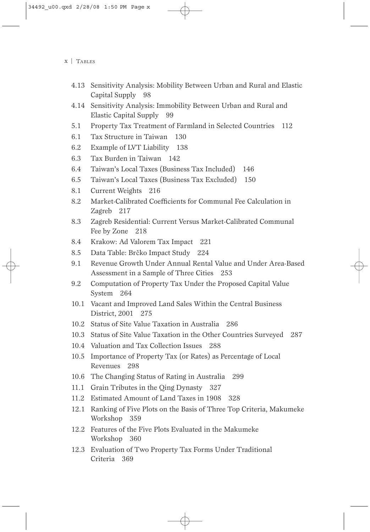- 4.13 Sensitivity Analysis: Mobility Between Urban and Rural and Elastic Capital Supply 98
- 4.14 Sensitivity Analysis: Immobility Between Urban and Rural and Elastic Capital Supply 99
- 5.1 Property Tax Treatment of Farmland in Selected Countries 112
- 6.1 Tax Structure in Taiwan 130
- 6.2 Example of LVT Liability 138
- 6.3 Tax Burden in Taiwan 142
- 6.4 Taiwan's Local Taxes (Business Tax Included) 146
- 6.5 Taiwan's Local Taxes (Business Tax Excluded) 150
- 8.1 Current Weights 216
- 8.2 Market-Calibrated Coefficients for Communal Fee Calculation in Zagreb 217
- 8.3 Zagreb Residential: Current Versus Market-Calibrated Communal Fee by Zone 218
- 8.4 Krakow: Ad Valorem Tax Impact 221
- 8.5 Data Table: Brčko Impact Study 224
- 9.1 Revenue Growth Under Annual Rental Value and Under Area-Based Assessment in a Sample of Three Cities 253
- 9.2 Computation of Property Tax Under the Proposed Capital Value System 264
- 10.1 Vacant and Improved Land Sales Within the Central Business District, 2001 275
- 10.2 Status of Site Value Taxation in Australia 286
- 10.3 Status of Site Value Taxation in the Other Countries Surveyed 287
- 10.4 Valuation and Tax Collection Issues 288
- 10.5 Importance of Property Tax (or Rates) as Percentage of Local Revenues 298
- 10.6 The Changing Status of Rating in Australia 299
- 11.1 Grain Tributes in the Qing Dynasty 327
- 11.2 Estimated Amount of Land Taxes in 1908 328
- 12.1 Ranking of Five Plots on the Basis of Three Top Criteria, Makumeke Workshop 359
- 12.2 Features of the Five Plots Evaluated in the Makumeke Workshop 360
- 12.3 Evaluation of Two Property Tax Forms Under Traditional Criteria 369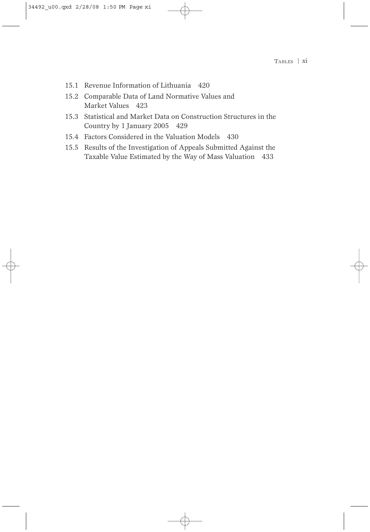- 15.1 Revenue Information of Lithuania 420
- 15.2 Comparable Data of Land Normative Values and Market Values 423
- 15.3 Statistical and Market Data on Construction Structures in the Country by 1 January 2005 429
- 15.4 Factors Considered in the Valuation Models 430
- 15.5 Results of the Investigation of Appeals Submitted Against the Taxable Value Estimated by the Way of Mass Valuation 433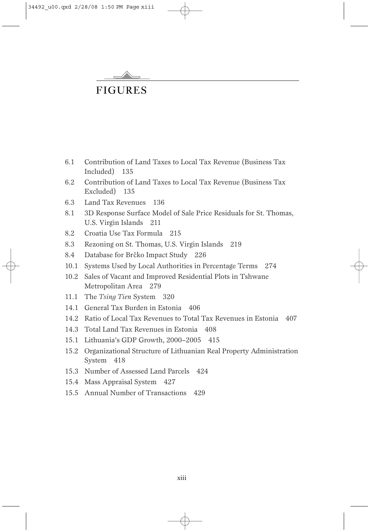

## FIGURES

- 6.1 Contribution of Land Taxes to Local Tax Revenue (Business Tax Included) 135
- 6.2 Contribution of Land Taxes to Local Tax Revenue (Business Tax Excluded) 135
- 6.3 Land Tax Revenues 136
- 8.1 3D Response Surface Model of Sale Price Residuals for St. Thomas, U.S. Virgin Islands 211
- 8.2 Croatia Use Tax Formula 215
- 8.3 Rezoning on St. Thomas, U.S. Virgin Islands 219
- 8.4 Database for Brčko Impact Study 226
- 10.1 Systems Used by Local Authorities in Percentage Terms 274
- 10.2 Sales of Vacant and Improved Residential Plots in Tshwane Metropolitan Area 279
- 11.1 The *Tsing Tien* System 320
- 14.1 General Tax Burden in Estonia 406
- 14.2 Ratio of Local Tax Revenues to Total Tax Revenues in Estonia 407
- 14.3 Total Land Tax Revenues in Estonia 408
- 15.1 Lithuania's GDP Growth, 2000–2005 415
- 15.2 Organizational Structure of Lithuanian Real Property Administration System 418
- 15.3 Number of Assessed Land Parcels 424
- 15.4 Mass Appraisal System 427
- 15.5 Annual Number of Transactions 429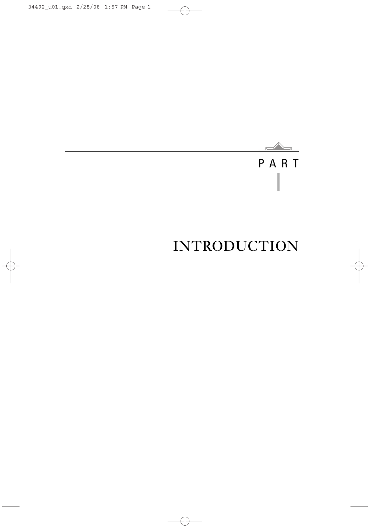## $\overline{\mathbb{R}}$ PART I

# INTRODUCTION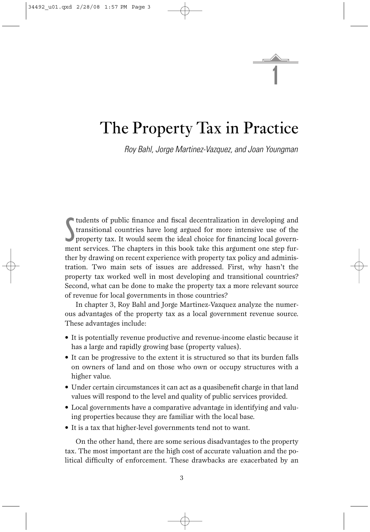1

## The Property Tax in Practice

*Roy Bahl, Jorge Martinez-Vazquez, and Joan Youngman*

Suddents of public finance and fiscal decentralization in developing and transitional countries have long argued for more intensive use of the property tax. It would seem the ideal choice for financing local governtudents of public finance and fiscal decentralization in developing and transitional countries have long argued for more intensive use of the ment services. The chapters in this book take this argument one step further by drawing on recent experience with property tax policy and administration. Two main sets of issues are addressed. First, why hasn't the property tax worked well in most developing and transitional countries? Second, what can be done to make the property tax a more relevant source of revenue for local governments in those countries?

In chapter 3, Roy Bahl and Jorge Martinez-Vazquez analyze the numerous advantages of the property tax as a local government revenue source. These advantages include:

- It is potentially revenue productive and revenue-income elastic because it has a large and rapidly growing base (property values).
- It can be progressive to the extent it is structured so that its burden falls on owners of land and on those who own or occupy structures with a higher value.
- Under certain circumstances it can act as a quasibenefit charge in that land values will respond to the level and quality of public services provided.
- Local governments have a comparative advantage in identifying and valuing properties because they are familiar with the local base.
- It is a tax that higher-level governments tend not to want.

On the other hand, there are some serious disadvantages to the property tax. The most important are the high cost of accurate valuation and the political difficulty of enforcement. These drawbacks are exacerbated by an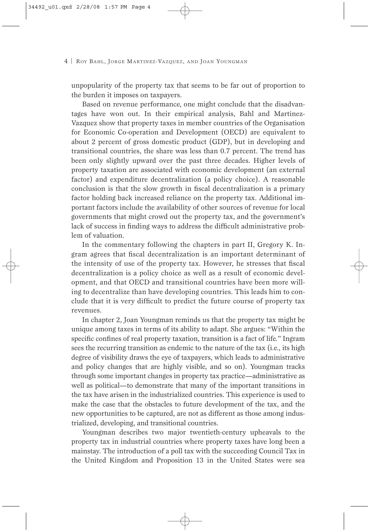unpopularity of the property tax that seems to be far out of proportion to the burden it imposes on taxpayers.

Based on revenue performance, one might conclude that the disadvantages have won out. In their empirical analysis, Bahl and Martinez-Vazquez show that property taxes in member countries of the Organisation for Economic Co-operation and Development (OECD) are equivalent to about 2 percent of gross domestic product (GDP), but in developing and transitional countries, the share was less than 0.7 percent. The trend has been only slightly upward over the past three decades. Higher levels of property taxation are associated with economic development (an external factor) and expenditure decentralization (a policy choice). A reasonable conclusion is that the slow growth in fiscal decentralization is a primary factor holding back increased reliance on the property tax. Additional important factors include the availability of other sources of revenue for local governments that might crowd out the property tax, and the government's lack of success in finding ways to address the difficult administrative problem of valuation.

In the commentary following the chapters in part II, Gregory K. Ingram agrees that fiscal decentralization is an important determinant of the intensity of use of the property tax. However, he stresses that fiscal decentralization is a policy choice as well as a result of economic development, and that OECD and transitional countries have been more willing to decentralize than have developing countries. This leads him to conclude that it is very difficult to predict the future course of property tax revenues.

In chapter 2, Joan Youngman reminds us that the property tax might be unique among taxes in terms of its ability to adapt. She argues: "Within the specific confines of real property taxation, transition is a fact of life." Ingram sees the recurring transition as endemic to the nature of the tax (i.e., its high degree of visibility draws the eye of taxpayers, which leads to administrative and policy changes that are highly visible, and so on). Youngman tracks through some important changes in property tax practice—administrative as well as political—to demonstrate that many of the important transitions in the tax have arisen in the industrialized countries. This experience is used to make the case that the obstacles to future development of the tax, and the new opportunities to be captured, are not as different as those among industrialized, developing, and transitional countries.

Youngman describes two major twentieth-century upheavals to the property tax in industrial countries where property taxes have long been a mainstay. The introduction of a poll tax with the succeeding Council Tax in the United Kingdom and Proposition 13 in the United States were sea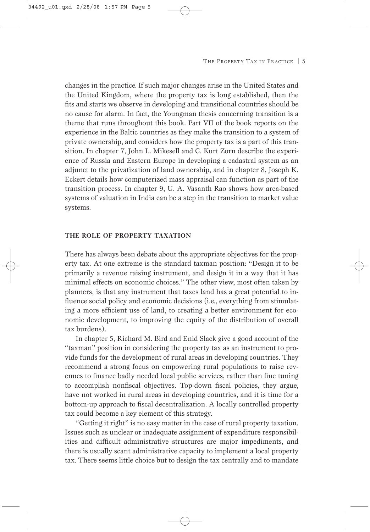changes in the practice. If such major changes arise in the United States and the United Kingdom, where the property tax is long established, then the fits and starts we observe in developing and transitional countries should be no cause for alarm. In fact, the Youngman thesis concerning transition is a theme that runs throughout this book. Part VII of the book reports on the experience in the Baltic countries as they make the transition to a system of private ownership, and considers how the property tax is a part of this transition. In chapter 7, John L. Mikesell and C. Kurt Zorn describe the experience of Russia and Eastern Europe in developing a cadastral system as an adjunct to the privatization of land ownership, and in chapter 8, Joseph K. Eckert details how computerized mass appraisal can function as part of the transition process. In chapter 9, U. A. Vasanth Rao shows how area-based systems of valuation in India can be a step in the transition to market value systems.

#### **THE ROLE OF PROPERTY TAXATION**

There has always been debate about the appropriate objectives for the property tax. At one extreme is the standard taxman position: "Design it to be primarily a revenue raising instrument, and design it in a way that it has minimal effects on economic choices." The other view, most often taken by planners, is that any instrument that taxes land has a great potential to influence social policy and economic decisions (i.e., everything from stimulating a more efficient use of land, to creating a better environment for economic development, to improving the equity of the distribution of overall tax burdens).

In chapter 5, Richard M. Bird and Enid Slack give a good account of the "taxman" position in considering the property tax as an instrument to provide funds for the development of rural areas in developing countries. They recommend a strong focus on empowering rural populations to raise revenues to finance badly needed local public services, rather than fine tuning to accomplish nonfiscal objectives. Top-down fiscal policies, they argue, have not worked in rural areas in developing countries, and it is time for a bottom-up approach to fiscal decentralization. A locally controlled property tax could become a key element of this strategy.

"Getting it right" is no easy matter in the case of rural property taxation. Issues such as unclear or inadequate assignment of expenditure responsibilities and difficult administrative structures are major impediments, and there is usually scant administrative capacity to implement a local property tax. There seems little choice but to design the tax centrally and to mandate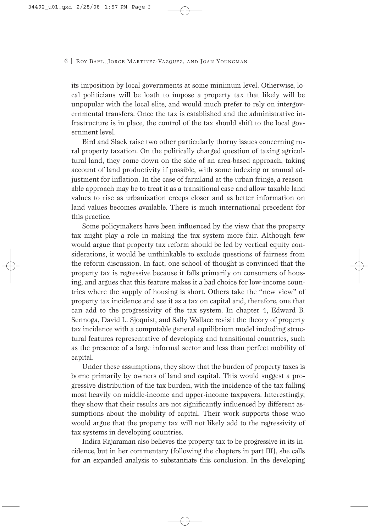its imposition by local governments at some minimum level. Otherwise, local politicians will be loath to impose a property tax that likely will be unpopular with the local elite, and would much prefer to rely on intergovernmental transfers. Once the tax is established and the administrative infrastructure is in place, the control of the tax should shift to the local government level.

Bird and Slack raise two other particularly thorny issues concerning rural property taxation. On the politically charged question of taxing agricultural land, they come down on the side of an area-based approach, taking account of land productivity if possible, with some indexing or annual adjustment for inflation. In the case of farmland at the urban fringe, a reasonable approach may be to treat it as a transitional case and allow taxable land values to rise as urbanization creeps closer and as better information on land values becomes available. There is much international precedent for this practice.

Some policymakers have been influenced by the view that the property tax might play a role in making the tax system more fair. Although few would argue that property tax reform should be led by vertical equity considerations, it would be unthinkable to exclude questions of fairness from the reform discussion. In fact, one school of thought is convinced that the property tax is regressive because it falls primarily on consumers of housing, and argues that this feature makes it a bad choice for low-income countries where the supply of housing is short. Others take the "new view" of property tax incidence and see it as a tax on capital and, therefore, one that can add to the progressivity of the tax system. In chapter 4, Edward B. Sennoga, David L. Sjoquist, and Sally Wallace revisit the theory of property tax incidence with a computable general equilibrium model including structural features representative of developing and transitional countries, such as the presence of a large informal sector and less than perfect mobility of capital.

Under these assumptions, they show that the burden of property taxes is borne primarily by owners of land and capital. This would suggest a progressive distribution of the tax burden, with the incidence of the tax falling most heavily on middle-income and upper-income taxpayers. Interestingly, they show that their results are not significantly influenced by different assumptions about the mobility of capital. Their work supports those who would argue that the property tax will not likely add to the regressivity of tax systems in developing countries.

Indira Rajaraman also believes the property tax to be progressive in its incidence, but in her commentary (following the chapters in part III), she calls for an expanded analysis to substantiate this conclusion. In the developing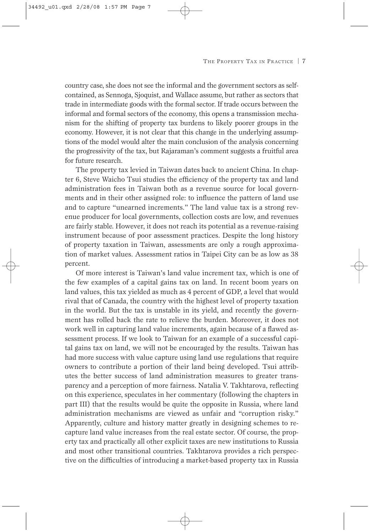country case, she does not see the informal and the government sectors as selfcontained, as Sennoga, Sjoquist, and Wallace assume, but rather as sectors that trade in intermediate goods with the formal sector. If trade occurs between the informal and formal sectors of the economy, this opens a transmission mechanism for the shifting of property tax burdens to likely poorer groups in the economy. However, it is not clear that this change in the underlying assumptions of the model would alter the main conclusion of the analysis concerning the progressivity of the tax, but Rajaraman's comment suggests a fruitful area for future research.

The property tax levied in Taiwan dates back to ancient China. In chapter 6, Steve Waicho Tsui studies the efficiency of the property tax and land administration fees in Taiwan both as a revenue source for local governments and in their other assigned role: to influence the pattern of land use and to capture "unearned increments." The land value tax is a strong revenue producer for local governments, collection costs are low, and revenues are fairly stable. However, it does not reach its potential as a revenue-raising instrument because of poor assessment practices. Despite the long history of property taxation in Taiwan, assessments are only a rough approximation of market values. Assessment ratios in Taipei City can be as low as 38 percent.

Of more interest is Taiwan's land value increment tax, which is one of the few examples of a capital gains tax on land. In recent boom years on land values, this tax yielded as much as 4 percent of GDP, a level that would rival that of Canada, the country with the highest level of property taxation in the world. But the tax is unstable in its yield, and recently the government has rolled back the rate to relieve the burden. Moreover, it does not work well in capturing land value increments, again because of a flawed assessment process. If we look to Taiwan for an example of a successful capital gains tax on land, we will not be encouraged by the results. Taiwan has had more success with value capture using land use regulations that require owners to contribute a portion of their land being developed. Tsui attributes the better success of land administration measures to greater transparency and a perception of more fairness. Natalia V. Takhtarova, reflecting on this experience, speculates in her commentary (following the chapters in part III) that the results would be quite the opposite in Russia, where land administration mechanisms are viewed as unfair and "corruption risky." Apparently, culture and history matter greatly in designing schemes to recapture land value increases from the real estate sector. Of course, the property tax and practically all other explicit taxes are new institutions to Russia and most other transitional countries. Takhtarova provides a rich perspective on the difficulties of introducing a market-based property tax in Russia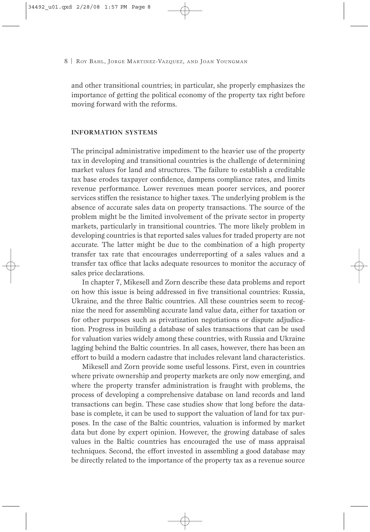and other transitional countries; in particular, she properly emphasizes the importance of getting the political economy of the property tax right before moving forward with the reforms.

## **INFORMATION SYSTEMS**

The principal administrative impediment to the heavier use of the property tax in developing and transitional countries is the challenge of determining market values for land and structures. The failure to establish a creditable tax base erodes taxpayer confidence, dampens compliance rates, and limits revenue performance. Lower revenues mean poorer services, and poorer services stiffen the resistance to higher taxes. The underlying problem is the absence of accurate sales data on property transactions. The source of the problem might be the limited involvement of the private sector in property markets, particularly in transitional countries. The more likely problem in developing countries is that reported sales values for traded property are not accurate. The latter might be due to the combination of a high property transfer tax rate that encourages underreporting of a sales values and a transfer tax office that lacks adequate resources to monitor the accuracy of sales price declarations.

In chapter 7, Mikesell and Zorn describe these data problems and report on how this issue is being addressed in five transitional countries: Russia, Ukraine, and the three Baltic countries. All these countries seem to recognize the need for assembling accurate land value data, either for taxation or for other purposes such as privatization negotiations or dispute adjudication. Progress in building a database of sales transactions that can be used for valuation varies widely among these countries, with Russia and Ukraine lagging behind the Baltic countries. In all cases, however, there has been an effort to build a modern cadastre that includes relevant land characteristics.

Mikesell and Zorn provide some useful lessons. First, even in countries where private ownership and property markets are only now emerging, and where the property transfer administration is fraught with problems, the process of developing a comprehensive database on land records and land transactions can begin. These case studies show that long before the database is complete, it can be used to support the valuation of land for tax purposes. In the case of the Baltic countries, valuation is informed by market data but done by expert opinion. However, the growing database of sales values in the Baltic countries has encouraged the use of mass appraisal techniques. Second, the effort invested in assembling a good database may be directly related to the importance of the property tax as a revenue source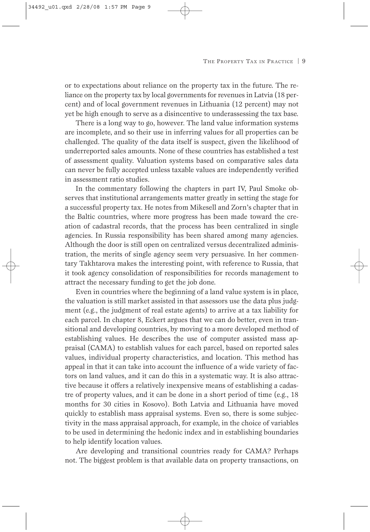or to expectations about reliance on the property tax in the future. The reliance on the property tax by local governments for revenues in Latvia (18 percent) and of local government revenues in Lithuania (12 percent) may not yet be high enough to serve as a disincentive to underassessing the tax base.

There is a long way to go, however. The land value information systems are incomplete, and so their use in inferring values for all properties can be challenged. The quality of the data itself is suspect, given the likelihood of underreported sales amounts. None of these countries has established a test of assessment quality. Valuation systems based on comparative sales data can never be fully accepted unless taxable values are independently verified in assessment ratio studies.

In the commentary following the chapters in part IV, Paul Smoke observes that institutional arrangements matter greatly in setting the stage for a successful property tax. He notes from Mikesell and Zorn's chapter that in the Baltic countries, where more progress has been made toward the creation of cadastral records, that the process has been centralized in single agencies. In Russia responsibility has been shared among many agencies. Although the door is still open on centralized versus decentralized administration, the merits of single agency seem very persuasive. In her commentary Takhtarova makes the interesting point, with reference to Russia, that it took agency consolidation of responsibilities for records management to attract the necessary funding to get the job done.

Even in countries where the beginning of a land value system is in place, the valuation is still market assisted in that assessors use the data plus judgment (e.g., the judgment of real estate agents) to arrive at a tax liability for each parcel. In chapter 8, Eckert argues that we can do better, even in transitional and developing countries, by moving to a more developed method of establishing values. He describes the use of computer assisted mass appraisal (CAMA) to establish values for each parcel, based on reported sales values, individual property characteristics, and location. This method has appeal in that it can take into account the influence of a wide variety of factors on land values, and it can do this in a systematic way. It is also attractive because it offers a relatively inexpensive means of establishing a cadastre of property values, and it can be done in a short period of time (e.g., 18 months for 30 cities in Kosovo). Both Latvia and Lithuania have moved quickly to establish mass appraisal systems. Even so, there is some subjectivity in the mass appraisal approach, for example, in the choice of variables to be used in determining the hedonic index and in establishing boundaries to help identify location values.

Are developing and transitional countries ready for CAMA? Perhaps not. The biggest problem is that available data on property transactions, on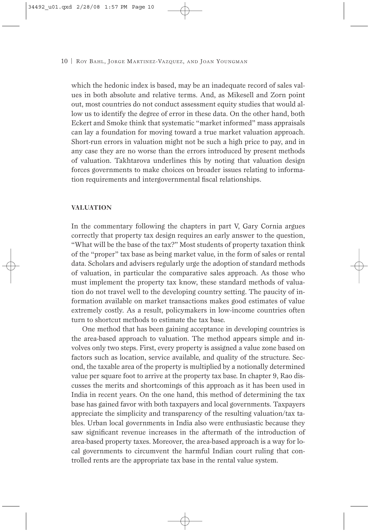which the hedonic index is based, may be an inadequate record of sales values in both absolute and relative terms. And, as Mikesell and Zorn point out, most countries do not conduct assessment equity studies that would allow us to identify the degree of error in these data. On the other hand, both Eckert and Smoke think that systematic "market informed" mass appraisals can lay a foundation for moving toward a true market valuation approach. Short-run errors in valuation might not be such a high price to pay, and in any case they are no worse than the errors introduced by present methods of valuation. Takhtarova underlines this by noting that valuation design forces governments to make choices on broader issues relating to information requirements and intergovernmental fiscal relationships.

## **VALUATION**

In the commentary following the chapters in part V, Gary Cornia argues correctly that property tax design requires an early answer to the question, "What will be the base of the tax?" Most students of property taxation think of the "proper" tax base as being market value, in the form of sales or rental data. Scholars and advisers regularly urge the adoption of standard methods of valuation, in particular the comparative sales approach. As those who must implement the property tax know, these standard methods of valuation do not travel well to the developing country setting. The paucity of information available on market transactions makes good estimates of value extremely costly. As a result, policymakers in low-income countries often turn to shortcut methods to estimate the tax base.

One method that has been gaining acceptance in developing countries is the area-based approach to valuation. The method appears simple and involves only two steps. First, every property is assigned a value zone based on factors such as location, service available, and quality of the structure. Second, the taxable area of the property is multiplied by a notionally determined value per square foot to arrive at the property tax base. In chapter 9, Rao discusses the merits and shortcomings of this approach as it has been used in India in recent years. On the one hand, this method of determining the tax base has gained favor with both taxpayers and local governments. Taxpayers appreciate the simplicity and transparency of the resulting valuation/tax tables. Urban local governments in India also were enthusiastic because they saw significant revenue increases in the aftermath of the introduction of area-based property taxes. Moreover, the area-based approach is a way for local governments to circumvent the harmful Indian court ruling that controlled rents are the appropriate tax base in the rental value system.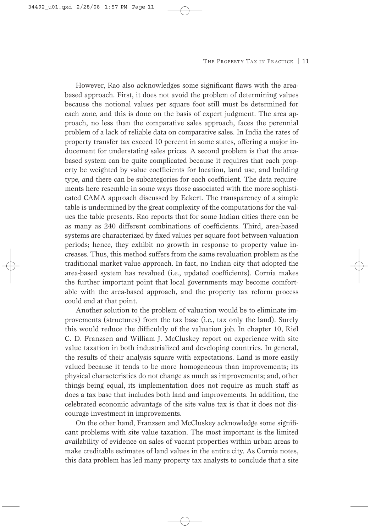However, Rao also acknowledges some significant flaws with the areabased approach. First, it does not avoid the problem of determining values because the notional values per square foot still must be determined for each zone, and this is done on the basis of expert judgment. The area approach, no less than the comparative sales approach, faces the perennial problem of a lack of reliable data on comparative sales. In India the rates of property transfer tax exceed 10 percent in some states, offering a major inducement for understating sales prices. A second problem is that the areabased system can be quite complicated because it requires that each property be weighted by value coefficients for location, land use, and building type, and there can be subcategories for each coefficient. The data requirements here resemble in some ways those associated with the more sophisticated CAMA approach discussed by Eckert. The transparency of a simple table is undermined by the great complexity of the computations for the values the table presents. Rao reports that for some Indian cities there can be as many as 240 different combinations of coefficients. Third, area-based systems are characterized by fixed values per square foot between valuation periods; hence, they exhibit no growth in response to property value increases. Thus, this method suffers from the same revaluation problem as the traditional market value approach. In fact, no Indian city that adopted the area-based system has revalued (i.e., updated coefficients). Cornia makes the further important point that local governments may become comfortable with the area-based approach, and the property tax reform process could end at that point.

Another solution to the problem of valuation would be to eliminate improvements (structures) from the tax base (i.e., tax only the land). Surely this would reduce the difficultly of the valuation job. In chapter 10, Riël C. D. Franzsen and William J. McCluskey report on experience with site value taxation in both industrialized and developing countries. In general, the results of their analysis square with expectations. Land is more easily valued because it tends to be more homogeneous than improvements; its physical characteristics do not change as much as improvements; and, other things being equal, its implementation does not require as much staff as does a tax base that includes both land and improvements. In addition, the celebrated economic advantage of the site value tax is that it does not discourage investment in improvements.

On the other hand, Franzsen and McCluskey acknowledge some significant problems with site value taxation. The most important is the limited availability of evidence on sales of vacant properties within urban areas to make creditable estimates of land values in the entire city. As Cornia notes, this data problem has led many property tax analysts to conclude that a site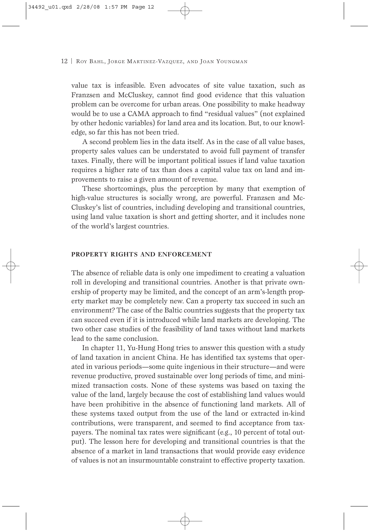value tax is infeasible. Even advocates of site value taxation, such as Franzsen and McCluskey, cannot find good evidence that this valuation problem can be overcome for urban areas. One possibility to make headway would be to use a CAMA approach to find "residual values" (not explained by other hedonic variables) for land area and its location. But, to our knowledge, so far this has not been tried.

A second problem lies in the data itself. As in the case of all value bases, property sales values can be understated to avoid full payment of transfer taxes. Finally, there will be important political issues if land value taxation requires a higher rate of tax than does a capital value tax on land and improvements to raise a given amount of revenue.

These shortcomings, plus the perception by many that exemption of high-value structures is socially wrong, are powerful. Franzsen and Mc-Cluskey's list of countries, including developing and transitional countries, using land value taxation is short and getting shorter, and it includes none of the world's largest countries.

#### **PROPERTY RIGHTS AND ENFORCEMENT**

The absence of reliable data is only one impediment to creating a valuation roll in developing and transitional countries. Another is that private ownership of property may be limited, and the concept of an arm's-length property market may be completely new. Can a property tax succeed in such an environment? The case of the Baltic countries suggests that the property tax can succeed even if it is introduced while land markets are developing. The two other case studies of the feasibility of land taxes without land markets lead to the same conclusion.

In chapter 11, Yu-Hung Hong tries to answer this question with a study of land taxation in ancient China. He has identified tax systems that operated in various periods—some quite ingenious in their structure—and were revenue productive, proved sustainable over long periods of time, and minimized transaction costs. None of these systems was based on taxing the value of the land, largely because the cost of establishing land values would have been prohibitive in the absence of functioning land markets. All of these systems taxed output from the use of the land or extracted in-kind contributions, were transparent, and seemed to find acceptance from taxpayers. The nominal tax rates were significant (e.g., 10 percent of total output). The lesson here for developing and transitional countries is that the absence of a market in land transactions that would provide easy evidence of values is not an insurmountable constraint to effective property taxation.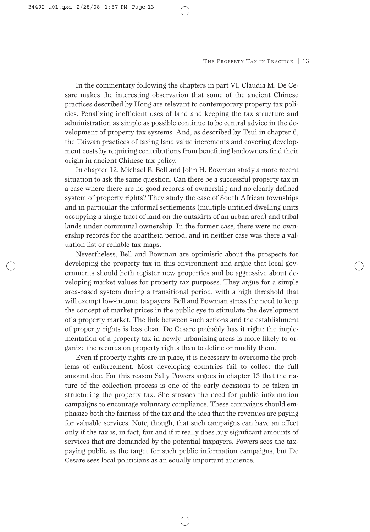In the commentary following the chapters in part VI, Claudia M. De Cesare makes the interesting observation that some of the ancient Chinese practices described by Hong are relevant to contemporary property tax policies. Penalizing inefficient uses of land and keeping the tax structure and administration as simple as possible continue to be central advice in the development of property tax systems. And, as described by Tsui in chapter 6, the Taiwan practices of taxing land value increments and covering development costs by requiring contributions from benefiting landowners find their origin in ancient Chinese tax policy.

In chapter 12, Michael E. Bell and John H. Bowman study a more recent situation to ask the same question: Can there be a successful property tax in a case where there are no good records of ownership and no clearly defined system of property rights? They study the case of South African townships and in particular the informal settlements (multiple untitled dwelling units occupying a single tract of land on the outskirts of an urban area) and tribal lands under communal ownership. In the former case, there were no ownership records for the apartheid period, and in neither case was there a valuation list or reliable tax maps.

Nevertheless, Bell and Bowman are optimistic about the prospects for developing the property tax in this environment and argue that local governments should both register new properties and be aggressive about developing market values for property tax purposes. They argue for a simple area-based system during a transitional period, with a high threshold that will exempt low-income taxpayers. Bell and Bowman stress the need to keep the concept of market prices in the public eye to stimulate the development of a property market. The link between such actions and the establishment of property rights is less clear. De Cesare probably has it right: the implementation of a property tax in newly urbanizing areas is more likely to organize the records on property rights than to define or modify them.

Even if property rights are in place, it is necessary to overcome the problems of enforcement. Most developing countries fail to collect the full amount due. For this reason Sally Powers argues in chapter 13 that the nature of the collection process is one of the early decisions to be taken in structuring the property tax. She stresses the need for public information campaigns to encourage voluntary compliance. These campaigns should emphasize both the fairness of the tax and the idea that the revenues are paying for valuable services. Note, though, that such campaigns can have an effect only if the tax is, in fact, fair and if it really does buy significant amounts of services that are demanded by the potential taxpayers. Powers sees the taxpaying public as the target for such public information campaigns, but De Cesare sees local politicians as an equally important audience.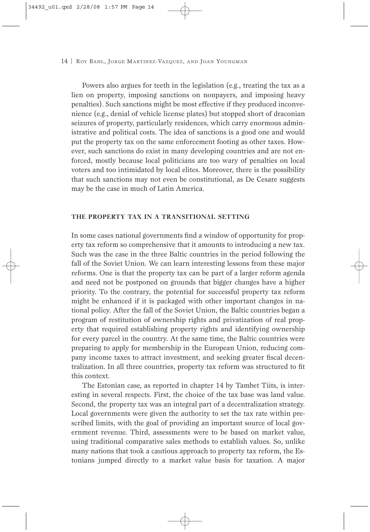Powers also argues for teeth in the legislation (e.g., treating the tax as a lien on property, imposing sanctions on nonpayers, and imposing heavy penalties). Such sanctions might be most effective if they produced inconvenience (e.g., denial of vehicle license plates) but stopped short of draconian seizures of property, particularly residences, which carry enormous administrative and political costs. The idea of sanctions is a good one and would put the property tax on the same enforcement footing as other taxes. However, such sanctions do exist in many developing countries and are not enforced, mostly because local politicians are too wary of penalties on local voters and too intimidated by local elites. Moreover, there is the possibility that such sanctions may not even be constitutional, as De Cesare suggests may be the case in much of Latin America.

## **THE PROPERTY TAX IN A TRANSITIONAL SETTING**

In some cases national governments find a window of opportunity for property tax reform so comprehensive that it amounts to introducing a new tax. Such was the case in the three Baltic countries in the period following the fall of the Soviet Union. We can learn interesting lessons from these major reforms. One is that the property tax can be part of a larger reform agenda and need not be postponed on grounds that bigger changes have a higher priority. To the contrary, the potential for successful property tax reform might be enhanced if it is packaged with other important changes in national policy. After the fall of the Soviet Union, the Baltic countries began a program of restitution of ownership rights and privatization of real property that required establishing property rights and identifying ownership for every parcel in the country. At the same time, the Baltic countries were preparing to apply for membership in the European Union, reducing company income taxes to attract investment, and seeking greater fiscal decentralization. In all three countries, property tax reform was structured to fit this context.

The Estonian case, as reported in chapter 14 by Tambet Tiits, is interesting in several respects. First, the choice of the tax base was land value. Second, the property tax was an integral part of a decentralization strategy. Local governments were given the authority to set the tax rate within prescribed limits, with the goal of providing an important source of local government revenue. Third, assessments were to be based on market value, using traditional comparative sales methods to establish values. So, unlike many nations that took a cautious approach to property tax reform, the Estonians jumped directly to a market value basis for taxation. A major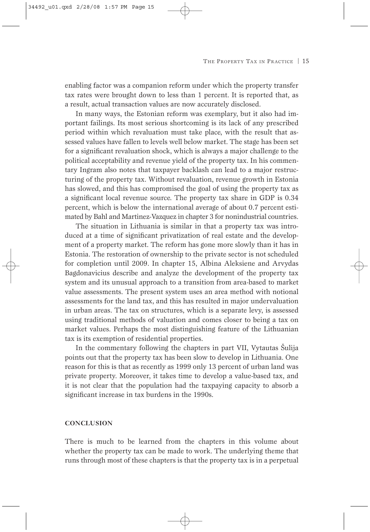enabling factor was a companion reform under which the property transfer tax rates were brought down to less than 1 percent. It is reported that, as a result, actual transaction values are now accurately disclosed.

In many ways, the Estonian reform was exemplary, but it also had important failings. Its most serious shortcoming is its lack of any prescribed period within which revaluation must take place, with the result that assessed values have fallen to levels well below market. The stage has been set for a significant revaluation shock, which is always a major challenge to the political acceptability and revenue yield of the property tax. In his commentary Ingram also notes that taxpayer backlash can lead to a major restructuring of the property tax. Without revaluation, revenue growth in Estonia has slowed, and this has compromised the goal of using the property tax as a significant local revenue source. The property tax share in GDP is 0.34 percent, which is below the international average of about 0.7 percent estimated by Bahl and Martinez-Vazquez in chapter 3 for nonindustrial countries.

The situation in Lithuania is similar in that a property tax was introduced at a time of significant privatization of real estate and the development of a property market. The reform has gone more slowly than it has in Estonia. The restoration of ownership to the private sector is not scheduled for completion until 2009. In chapter 15, Albina Aleksiene and Arvydas Bagdonavicius describe and analyze the development of the property tax system and its unusual approach to a transition from area-based to market value assessments. The present system uses an area method with notional assessments for the land tax, and this has resulted in major undervaluation in urban areas. The tax on structures, which is a separate levy, is assessed using traditional methods of valuation and comes closer to being a tax on market values. Perhaps the most distinguishing feature of the Lithuanian tax is its exemption of residential properties.

In the commentary following the chapters in part VII, Vytautas Šulija points out that the property tax has been slow to develop in Lithuania. One reason for this is that as recently as 1999 only 13 percent of urban land was private property. Moreover, it takes time to develop a value-based tax, and it is not clear that the population had the taxpaying capacity to absorb a significant increase in tax burdens in the 1990s.

## **CONCLUSION**

There is much to be learned from the chapters in this volume about whether the property tax can be made to work. The underlying theme that runs through most of these chapters is that the property tax is in a perpetual